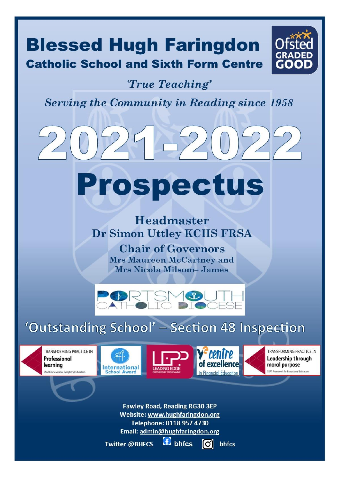# **Blessed Hugh Faringdon Catholic School and Sixth Form Centre**



# True Teaching'

**Serving the Community in Reading since 1958** 

# Prospectus

Headmaster Dr Simon Uttley KCHS FRSA

> **Chair of Governors Mrs Maureen McCartney and Mrs Nicola Milsom-James**



# 'Outstanding School' - Section 48 Inspection









TRANSFORMING PRACTICE IN **Leadership through** moral purpose SSAT Framework for Exceptional Educat

**Fawley Road, Reading RG30 3EP** Website: www.hughfaringdon.org Telephone: 0118 957 4730 Email: admin@hughfaringdon.org

 $f$  bhfcs Twitter @BHFCS

llO.J bhfcs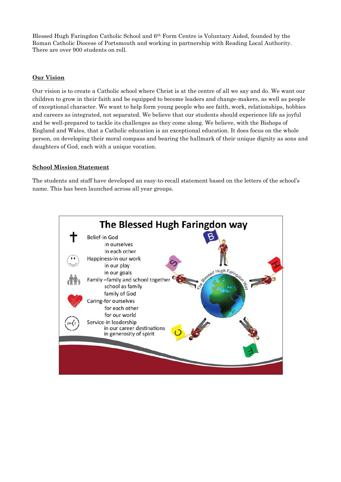Blessed Hugh Faringdon Catholic School and 6th Form Centre is Voluntary Aided, founded by the Roman Catholic Diocese of Portsmouth and working in partnership with Reading Local Authority. There are over 900 students on roll.

### **Our Vision**

Our vision is to create a Catholic school where Christ is at the centre of all we say and do. We want our children to grow in their faith and be equipped to become leaders and change-makers, as well as people of exceptional character. We want to help form young people who see faith, work, relationships, hobbies and careers as integrated, not separated. We believe that our students should experience life as joyful and be well-prepared to tackle its challenges as they come along. We believe, with the Bishops of England and Wales, that a Catholic education is an exceptional education. It does focus on the whole person, on developing their moral compass and bearing the hallmark of their unique dignity as sons and daughters of God, each with a unique vocation.

#### **School Mission Statement**

The students and staff have developed an easy-to-recall statement based on the letters of the school's name. This has been launched across all year groups.

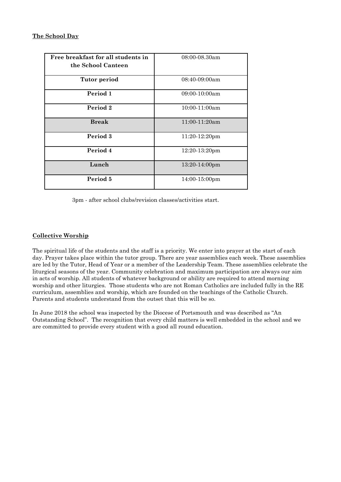| Free breakfast for all students in<br>the School Canteen | 08:00-08.30am           |
|----------------------------------------------------------|-------------------------|
| <b>Tutor period</b>                                      | 08:40-09:00am           |
| Period 1                                                 | $09:00-10:00am$         |
| Period 2                                                 | $10:00-11:00am$         |
| <b>Break</b>                                             | 11:00-11:20am           |
| Period 3                                                 | 11:20-12:20pm           |
| Period 4                                                 | $12:20-13:20$ pm        |
| Lunch                                                    | $13:20-14:00 \text{pm}$ |
| Period 5                                                 | $14:00-15:00 \text{pm}$ |

3pm - after school clubs/revision classes/activities start.

# **Collective Worship**

The spiritual life of the students and the staff is a priority. We enter into prayer at the start of each day. Prayer takes place within the tutor group. There are year assemblies each week. These assemblies are led by the Tutor, Head of Year or a member of the Leadership Team. These assemblies celebrate the liturgical seasons of the year. Community celebration and maximum participation are always our aim in acts of worship. All students of whatever background or ability are required to attend morning worship and other liturgies. Those students who are not Roman Catholics are included fully in the RE curriculum, assemblies and worship, which are founded on the teachings of the Catholic Church. Parents and students understand from the outset that this will be so.

In June 2018 the school was inspected by the Diocese of Portsmouth and was described as "An Outstanding School". The recognition that every child matters is well embedded in the school and we are committed to provide every student with a good all round education.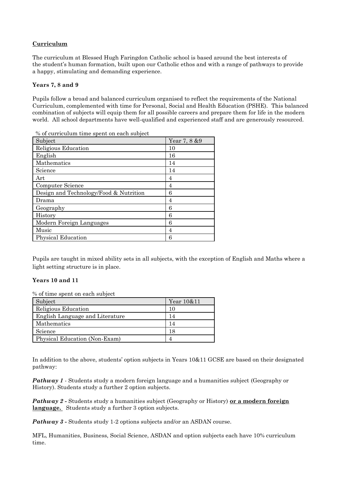# **Curriculum**

The curriculum at Blessed Hugh Faringdon Catholic school is based around the best interests of the student's human formation, built upon our Catholic ethos and with a range of pathways to provide a happy, stimulating and demanding experience.

#### **Years 7, 8 and 9**

Pupils follow a broad and balanced curriculum organised to reflect the requirements of the National Curriculum, complemented with time for Personal, Social and Health Education (PSHE). This balanced combination of subjects will equip them for all possible careers and prepare them for life in the modern world. All school departments have well-qualified and experienced staff and are generously resourced.

% of curriculum time spent on each subject

| Subject                                | Year 7, 8 & 9  |
|----------------------------------------|----------------|
| Religious Education                    | 10             |
| English                                | 16             |
| Mathematics                            | 14             |
| Science                                | 14             |
| Art                                    | 4              |
| Computer Science                       | 4              |
| Design and Technology/Food & Nutrition | 6              |
| Drama                                  | $\overline{4}$ |
| Geography                              | 6              |
| History                                | 6              |
| Modern Foreign Languages               | 6              |
| Music                                  | 4              |
| <b>Physical Education</b>              | 6              |

Pupils are taught in mixed ability sets in all subjects, with the exception of English and Maths where a light setting structure is in place.

#### **Years 10 and 11**

% of time spent on each subject

| Subject                         | Year 10&11 |
|---------------------------------|------------|
| Religious Education             | 10         |
| English Language and Literature | 14         |
| Mathematics                     | 14         |
| Science                         | 18         |
| Physical Education (Non-Exam)   |            |

In addition to the above, students' option subjects in Years 10&11 GCSE are based on their designated pathway:

*Pathway 1* - Students study a modern foreign language and a humanities subject (Geography or History). Students study a further 2 option subjects.

*Pathway 2 -* **Students study a humanities subject (Geography or History) or a modern foreign language.** Students study a further 3 option subjects.

*Pathway 3 -* Students study 1-2 options subjects and/or an ASDAN course.

MFL, Humanities, Business, Social Science, ASDAN and option subjects each have 10% curriculum time.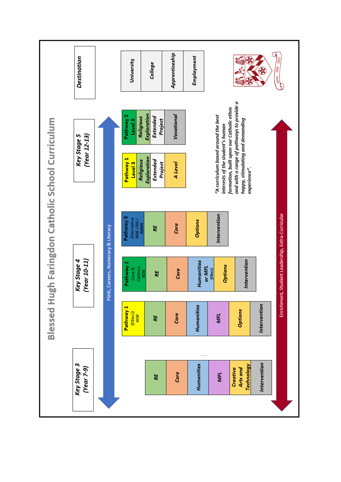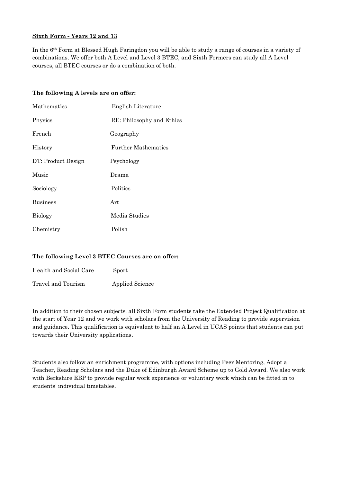# **Sixth Form - Years 12 and 13**

In the 6th Form at Blessed Hugh Faringdon you will be able to study a range of courses in a variety of combinations. We offer both A Level and Level 3 BTEC, and Sixth Formers can study all A Level courses, all BTEC courses or do a combination of both.

#### **The following A levels are on offer:**

| Mathematics        | English Literature         |
|--------------------|----------------------------|
| Physics            | RE: Philosophy and Ethics  |
| French             | Geography                  |
| History            | <b>Further Mathematics</b> |
| DT: Product Design | Psychology                 |
| Music              | Drama                      |
| Sociology          | Politics                   |
| <b>Business</b>    | Art                        |
| <b>Biology</b>     | Media Studies              |
| Chemistry          | Polish                     |

#### **The following Level 3 BTEC Courses are on offer:**

| Health and Social Care | Sport                  |
|------------------------|------------------------|
| Travel and Tourism     | <b>Applied Science</b> |

In addition to their chosen subjects, all Sixth Form students take the Extended Project Qualification at the start of Year 12 and we work with scholars from the University of Reading to provide supervision and guidance. This qualification is equivalent to half an A Level in UCAS points that students can put towards their University applications.

Students also follow an enrichment programme, with options including Peer Mentoring, Adopt a Teacher, Reading Scholars and the Duke of Edinburgh Award Scheme up to Gold Award. We also work with Berkshire EBP to provide regular work experience or voluntary work which can be fitted in to students' individual timetables.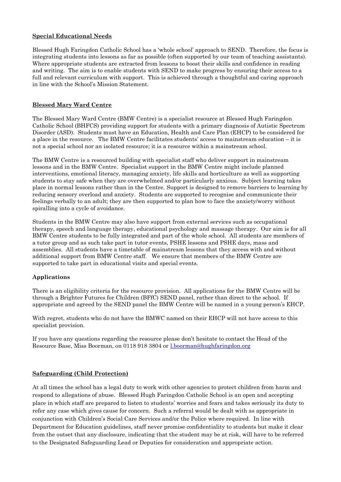#### **Special Educational Needs**

Blessed Hugh Faringdon Catholic School has a 'whole school' approach to SEND. Therefore, the focus is integrating students into lessons as far as possible (often supported by our team of teaching assistants). Where appropriate students are extracted from lessons to boost their skills and confidence in reading and writing. The aim is to enable students with SEND to make progress by ensuring their access to a full and relevant curriculum with support. This is achieved through a thoughtful and caring approach in line with the School's Mission Statement.

#### **Blessed Mary Ward Centre**

The Blessed Mary Ward Centre (BMW Centre) is a specialist resource at Blessed Hugh Faringdon Catholic School (BHFCS) providing support for students with a primary diagnosis of Autistic Spectrum Disorder (ASD). Students must have an Education, Health and Care Plan (EHCP) to be considered for a place in the resource. The BMW Centre facilitates students' access to mainstream education – it is not a special school nor an isolated resource; it is a resource within a mainstream school.

The BMW Centre is a resourced building with specialist staff who deliver support in mainstream lessons and in the BMW Centre. Specialist support in the BMW Centre might include planned interventions, emotional literacy, managing anxiety, life skills and horticulture as well as supporting students to stay safe when they are overwhelmed and/or particularly anxious. Subject learning takes place in normal lessons rather than in the Centre. Support is designed to remove barriers to learning by reducing sensory overload and anxiety. Students are supported to recognise and communicate their feelings verbally to an adult; they are then supported to plan how to face the anxiety/worry without spiralling into a cycle of avoidance.

Students in the BMW Centre may also have support from external services such as occupational therapy, speech and language therapy, educational psychology and massage therapy. Our aim is for all BMW Centre students to be fully integrated and part of the whole school. All students are members of a tutor group and as such take part in tutor events, PSHE lessons and PSHE days, mass and assemblies. All students have a timetable of mainstream lessons that they access with and without additional support from BMW Centre staff. We ensure that members of the BMW Centre are supported to take part in educational visits and special events.

# **Applications**

There is an eligibility criteria for the resource provision. All applications for the BMW Centre will be through a Brighter Futures for Children (BFfC) SEND panel, rather than direct to the school. If appropriate and agreed by the SEND panel the BMW Centre will be named in a young person's EHCP.

With regret, students who do not have the BMWC named on their EHCP will not have access to this specialist provision.

If you have any questions regarding the resource please don't hesitate to contact the Head of the Resource Base, Miss Boorman, on 0118 918 3804 or [l.boorman@hughfaringdon.org](mailto:l.boorman@hughfaringdon.org)

#### **Safeguarding (Child Protection)**

At all times the school has a legal duty to work with other agencies to protect children from harm and respond to allegations of abuse. Blessed Hugh Faringdon Catholic School is an open and accepting place in which staff are prepared to listen to students' worries and fears and takes seriously its duty to refer any case which gives cause for concern. Such a referral would be dealt with as appropriate in conjunction with Children's Social Care Services and/or the Police where required. In line with Department for Education guidelines, staff never promise confidentiality to students but make it clear from the outset that any disclosure, indicating that the student may be at risk, will have to be referred to the Designated Safeguarding Lead or Deputies for consideration and appropriate action.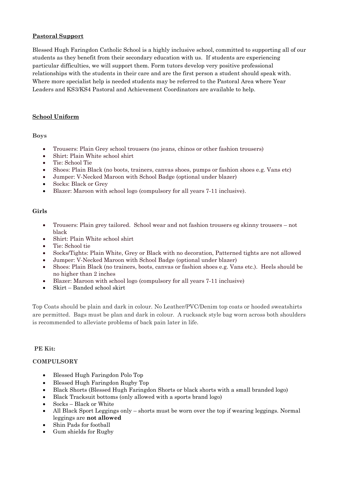# **Pastoral Support**

Blessed Hugh Faringdon Catholic School is a highly inclusive school, committed to supporting all of our students as they benefit from their secondary education with us. If students are experiencing particular difficulties, we will support them. Form tutors develop very positive professional relationships with the students in their care and are the first person a student should speak with. Where more specialist help is needed students may be referred to the Pastoral Area where Year Leaders and KS3/KS4 Pastoral and Achievement Coordinators are available to help.

# **School Uniform**

**Boys**

- Trousers: Plain Grey school trousers (no jeans, chinos or other fashion trousers)
- Shirt: Plain White school shirt
- Tie: School Tie
- Shoes: Plain Black (no boots, trainers, canvas shoes, pumps or fashion shoes e.g. Vans etc)
- Jumper: V-Necked Maroon with School Badge (optional under blazer)
- Socks: Black or Grey
- Blazer: Maroon with school logo (compulsory for all years 7-11 inclusive).

# **Girls**

- Trousers: Plain grey tailored. School wear and not fashion trousers eg skinny trousers not black
- Shirt: Plain White school shirt
- Tie: School tie
- Socks/Tights: Plain White, Grey or Black with no decoration, Patterned tights are not allowed
- Jumper: V-Necked Maroon with School Badge (optional under blazer)
- Shoes: Plain Black (no trainers, boots, canvas or fashion shoes e.g. Vans etc.). Heels should be no higher than 2 inches
- Blazer: Maroon with school logo (compulsory for all years 7-11 inclusive)
- Skirt Banded school skirt

Top Coats should be plain and dark in colour. No Leather/PVC/Denim top coats or hooded sweatshirts are permitted. Bags must be plan and dark in colour. A rucksack style bag worn across both shoulders is recommended to alleviate problems of back pain later in life.

# **PE Kit:**

# **COMPULSORY**

- Blessed Hugh Faringdon Polo Top
- Blessed Hugh Faringdon Rugby Top
- Black Shorts (Blessed Hugh Faringdon Shorts or black shorts with a small branded logo)
- Black Tracksuit bottoms (only allowed with a sports brand logo)
- Socks Black or White
- All Black Sport Leggings only shorts must be worn over the top if wearing leggings. Normal leggings are **not allowed**
- Shin Pads for football
- Gum shields for Rugby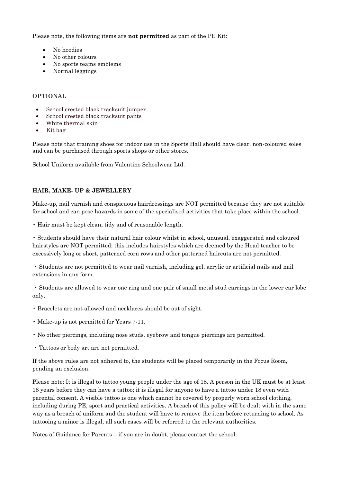Please note, the following items are **not permitted** as part of the PE Kit:

- No hoodies
- No other colours
- No sports teams emblems
- Normal leggings

#### **OPTIONAL**

- School crested black tracksuit jumper
- School crested black tracksuit pants
- White thermal skin
- Kit bag

Please note that training shoes for indoor use in the Sports Hall should have clear, non-coloured soles and can be purchased through sports shops or other stores.

School Uniform available from Valentino Schoolwear Ltd.

# **HAIR, MAKE- UP & JEWELLERY**

Make-up, nail varnish and conspicuous hairdressings are NOT permitted because they are not suitable for school and can pose hazards in some of the specialised activities that take place within the school.

• Hair must be kept clean, tidy and of reasonable length.

• Students should have their natural hair colour whilst in school, unusual, exaggerated and coloured hairstyles are NOT permitted; this includes hairstyles which are deemed by the Head teacher to be excessively long or short, patterned corn rows and other patterned haircuts are not permitted.

• Students are not permitted to wear nail varnish, including gel, acrylic or artificial nails and nail extensions in any form.

• Students are allowed to wear one ring and one pair of small metal stud earrings in the lower ear lobe only.

- Bracelets are not allowed and necklaces should be out of sight.
- Make-up is not permitted for Years 7-11.
- No other piercings, including nose studs, eyebrow and tongue piercings are permitted.
- Tattoos or body art are not permitted.

If the above rules are not adhered to, the students will be placed temporarily in the Focus Room, pending an exclusion.

Please note: It is illegal to tattoo young people under the age of 18. A person in the UK must be at least 18 years before they can have a tattoo; it is illegal for anyone to have a tattoo under 18 even with parental consent. A visible tattoo is one which cannot be covered by properly worn school clothing, including during PE, sport and practical activities. A breach of this policy will be dealt with in the same way as a breach of uniform and the student will have to remove the item before returning to school. As tattooing a minor is illegal, all such cases will be referred to the relevant authorities.

Notes of Guidance for Parents – if you are in doubt, please contact the school.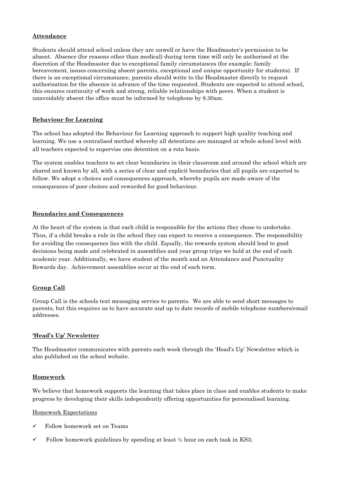#### **Attendance**

Students should attend school unless they are unwell or have the Headmaster's permission to be absent. Absence (for reasons other than medical) during term time will only be authorised at the discretion of the Headmaster due to exceptional family circumstances (for example: family bereavement, issues concerning absent parents, exceptional and unique opportunity for students). If there is an exceptional circumstance, parents should write to the Headmaster directly to request authorisation for the absence in advance of the time requested*.* Students are expected to attend school, this ensures continuity of work and strong, reliable relationships with peers. When a student is unavoidably absent the office must be informed by telephone by 8.30am.

#### **Behaviour for Learning**

The school has adopted the Behaviour for Learning approach to support high quality teaching and learning. We use a centralised method whereby all detentions are managed at whole school level with all teachers expected to supervise one detention on a rota basis.

The system enables teachers to set clear boundaries in their classroom and around the school which are shared and known by all, with a series of clear and explicit boundaries that all pupils are expected to follow. We adopt a choices and consequences approach, whereby pupils are made aware of the consequences of poor choices and rewarded for good behaviour.

#### **Boundaries and Consequences**

At the heart of the system is that each child is responsible for the actions they chose to undertake. Thus, if a child breaks a rule in the school they can expect to receive a consequence. The responsibility for avoiding the consequence lies with the child. Equally, the rewards system should lead to good decisions being made and celebrated in assemblies and year group trips we hold at the end of each academic year. Additionally, we have student of the month and an Attendance and Punctuality Rewards day. Achievement assemblies occur at the end of each term.

# **Group Call**

Group Call is the schools text messaging service to parents. We are able to send short messages to parents, but this requires us to have accurate and up to date records of mobile telephone numbers/email addresses.

# **'Head's Up' Newsletter**

The Headmaster communicates with parents each week through the 'Head's Up' Newsletter which is also published on the school website.

#### **Homework**

We believe that homework supports the learning that takes place in class and enables students to make progress by developing their skills independently offering opportunities for personalised learning.

#### Homework Expectations

- Follow homework set on Teams
- $\checkmark$  Follow homework guidelines by spending at least  $\frac{1}{2}$  hour on each task in KS3;